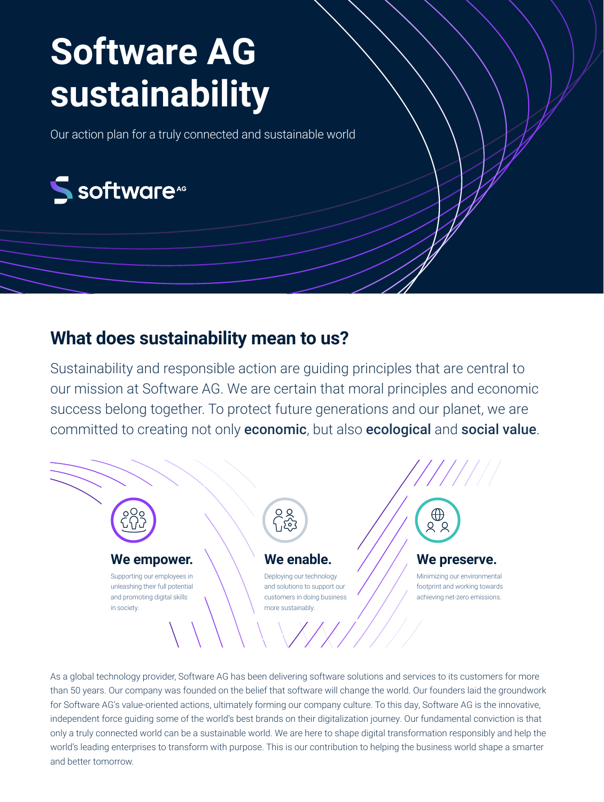# **Software AG sustainability**

Our action plan for a truly connected and sustainable world



## **What does sustainability mean to us?**

Sustainability and responsible action are guiding principles that are central to our mission at Software AG. We are certain that moral principles and economic success belong together. To protect future generations and our planet, we are committed to creating not only economic, but also ecological and social value.



As a global technology provider, Software AG has been delivering software solutions and services to its customers for more than 50 years. Our company was founded on the belief that software will change the world. Our founders laid the groundwork for Software AG's value-oriented actions, ultimately forming our company culture. To this day, Software AG is the innovative, independent force guiding some of the world's best brands on their digitalization journey. Our fundamental conviction is that only a truly connected world can be a sustainable world. We are here to shape digital transformation responsibly and help the world's leading enterprises to transform with purpose. This is our contribution to helping the business world shape a smarter and better tomorrow.